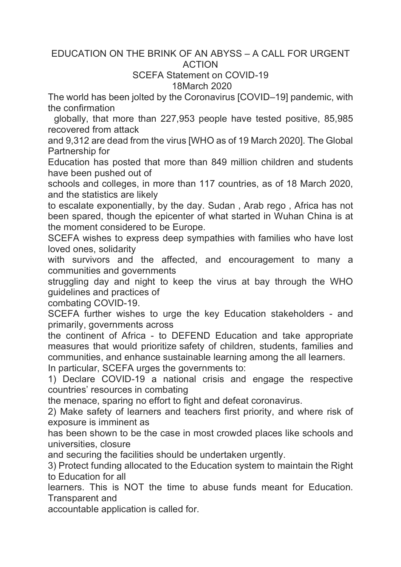## EDUCATION ON THE BRINK OF AN ABYSS – A CALL FOR URGENT ACTION

## SCEFA Statement on COVID-19 18March 2020

The world has been jolted by the Coronavirus [COVID–19] pandemic, with the confirmation

globally, that more than 227,953 people have tested positive, 85,985 recovered from attack

and 9,312 are dead from the virus [WHO as of 19 March 2020]. The Global Partnership for

Education has posted that more than 849 million children and students have been pushed out of

schools and colleges, in more than 117 countries, as of 18 March 2020, and the statistics are likely

to escalate exponentially, by the day. Sudan , Arab rego , Africa has not been spared, though the epicenter of what started in Wuhan China is at the moment considered to be Europe.

SCEFA wishes to express deep sympathies with families who have lost loved ones, solidarity

with survivors and the affected, and encouragement to many a communities and governments

struggling day and night to keep the virus at bay through the WHO guidelines and practices of

combating COVID-19.

SCEFA further wishes to urge the key Education stakeholders - and primarily, governments across

the continent of Africa - to DEFEND Education and take appropriate measures that would prioritize safety of children, students, families and communities, and enhance sustainable learning among the all learners.

In particular, SCEFA urges the governments to:

1) Declare COVID-19 a national crisis and engage the respective countries' resources in combating

the menace, sparing no effort to fight and defeat coronavirus.

2) Make safety of learners and teachers first priority, and where risk of exposure is imminent as

has been shown to be the case in most crowded places like schools and universities, closure

and securing the facilities should be undertaken urgently.

3) Protect funding allocated to the Education system to maintain the Right to Education for all

learners. This is NOT the time to abuse funds meant for Education. Transparent and

accountable application is called for.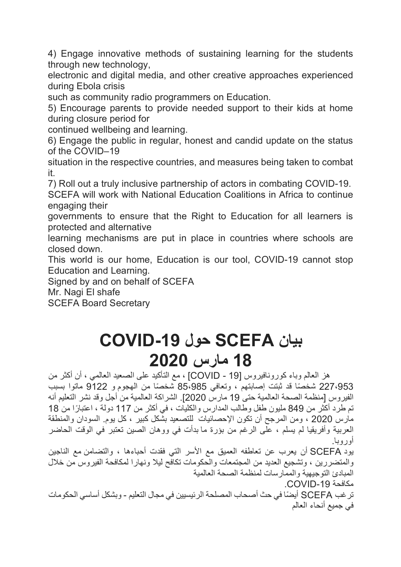4) Engage innovative methods of sustaining learning for the students through new technology,

electronic and digital media, and other creative approaches experienced during Ebola crisis

such as community radio programmers on Education.

5) Encourage parents to provide needed support to their kids at home during closure period for

continued wellbeing and learning.

6) Engage the public in regular, honest and candid update on the status of the COVID–19

situation in the respective countries, and measures being taken to combat it.

7) Roll out a truly inclusive partnership of actors in combating COVID-19.

SCEFA will work with National Education Coalitions in Africa to continue engaging their

governments to ensure that the Right to Education for all learners is protected and alternative

learning mechanisms are put in place in countries where schools are closed down.

This world is our home, Education is our tool, COVID-19 cannot stop Education and Learning.

Signed by and on behalf of SCEFA

Mr. Nagi El shafe

SCEFA Board Secretary

## **نایب SCEFA لوح -19COVID 18 سرام 2020**

هز العالم وباء كورونافيروس [19 - COVID] ، مع التأكيد على الصعيد العالمي ، أن أكثر من 227،953 شخصًا قد ثبتت إصابتهم ، وتعافي 85،985 شخصًا من الهجوم و 9122 ماتوا بسبب الفيروس [منظمة الصحة العالمية حتى 19 مارس 2020]. الشراكة العالمية من أجل وقد نشر التعليم أنه نم طر د أكثر ً من 849 مليون طفل و طالب المدار س و الكليات ، في أكثر ٍ من 117 دولة ، اعتبارً ا من 18 مارس 2020 ، ومن المرجح أن نكون الإحصائيات للتصعيد بشكل كبير ، كل يوم السودان والمنطقة العربية وأفريقيا لم يسلم ، علَّى الرغم من بؤرة ما بدأت في ووهان الصين تعتبر في الوقت الحاضر .ابوروأ

بود SCEFA أن يعرب عن تعاطفه العميق مع الأسر التي فقدت أحباءها ، والتضامن مع الناجين والمتضررين ، وتشجيع العديد من المجتمعات والحكومات تكافح ليلا ونهارا لمكافحة الفيروس من خلال المبادئ التوجيهية والممار سات لمنظمة الصحة العالمية مكافحة COVID-19.

تر غب SCEFA أیضًا في حث أصحاب المصلحة الرئیسیین في مجال التعلیم - وبشكل أساسي الحكومات في جميع أنحاء العالم